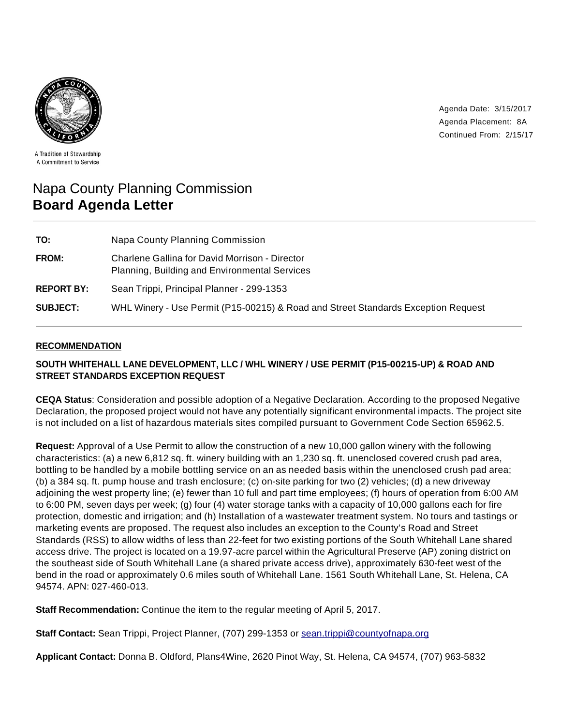

Agenda Date: 3/15/2017 Agenda Placement: 8A Continued From: 2/15/17

A Tradition of Stewardship A Commitment to Service

# Napa County Planning Commission **Board Agenda Letter**

| TO:               | Napa County Planning Commission                                                                 |
|-------------------|-------------------------------------------------------------------------------------------------|
| FROM:             | Charlene Gallina for David Morrison - Director<br>Planning, Building and Environmental Services |
| <b>REPORT BY:</b> | Sean Trippi, Principal Planner - 299-1353                                                       |
| <b>SUBJECT:</b>   | WHL Winery - Use Permit (P15-00215) & Road and Street Standards Exception Request               |

## **RECOMMENDATION**

# **SOUTH WHITEHALL LANE DEVELOPMENT, LLC / WHL WINERY / USE PERMIT (P15-00215-UP) & ROAD AND STREET STANDARDS EXCEPTION REQUEST**

**CEQA Status**: Consideration and possible adoption of a Negative Declaration. According to the proposed Negative Declaration, the proposed project would not have any potentially significant environmental impacts. The project site is not included on a list of hazardous materials sites compiled pursuant to Government Code Section 65962.5.

**Request:** Approval of a Use Permit to allow the construction of a new 10,000 gallon winery with the following characteristics: (a) a new 6,812 sq. ft. winery building with an 1,230 sq. ft. unenclosed covered crush pad area, bottling to be handled by a mobile bottling service on an as needed basis within the unenclosed crush pad area; (b) a 384 sq. ft. pump house and trash enclosure; (c) on-site parking for two (2) vehicles; (d) a new driveway adjoining the west property line; (e) fewer than 10 full and part time employees; (f) hours of operation from 6:00 AM to 6:00 PM, seven days per week; (g) four (4) water storage tanks with a capacity of 10,000 gallons each for fire protection, domestic and irrigation; and (h) Installation of a wastewater treatment system. No tours and tastings or marketing events are proposed. The request also includes an exception to the County's Road and Street Standards (RSS) to allow widths of less than 22-feet for two existing portions of the South Whitehall Lane shared access drive. The project is located on a 19.97-acre parcel within the Agricultural Preserve (AP) zoning district on the southeast side of South Whitehall Lane (a shared private access drive), approximately 630-feet west of the bend in the road or approximately 0.6 miles south of Whitehall Lane. 1561 South Whitehall Lane, St. Helena, CA 94574. APN: 027-460-013.

**Staff Recommendation:** Continue the item to the regular meeting of April 5, 2017.

**Staff Contact:** Sean Trippi, Project Planner, (707) 299-1353 or sean.trippi@countyofnapa.org

**Applicant Contact:** Donna B. Oldford, Plans4Wine, 2620 Pinot Way, St. Helena, CA 94574, (707) 963-5832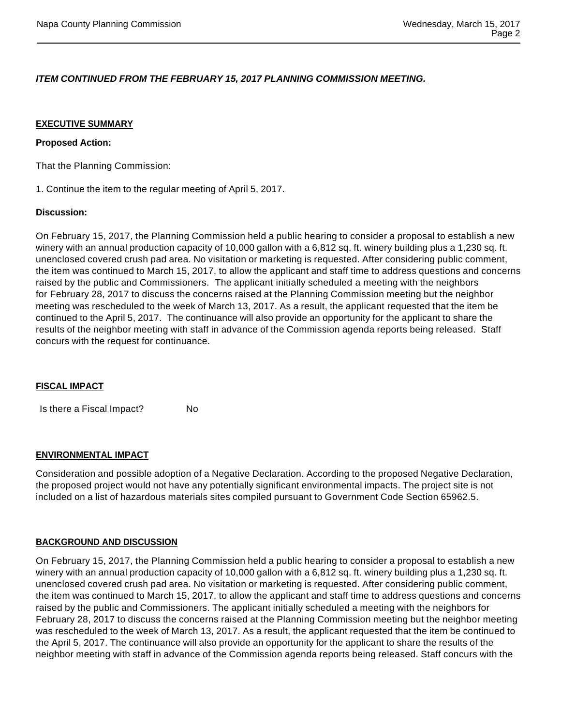## **ITEM CONTINUED FROM THE FEBRUARY 15, 2017 PLANNING COMMISSION MEETING.**

#### **EXECUTIVE SUMMARY**

#### **Proposed Action:**

That the Planning Commission:

1. Continue the item to the regular meeting of April 5, 2017.

#### **Discussion:**

On February 15, 2017, the Planning Commission held a public hearing to consider a proposal to establish a new winery with an annual production capacity of 10,000 gallon with a 6,812 sq. ft. winery building plus a 1,230 sq. ft. unenclosed covered crush pad area. No visitation or marketing is requested. After considering public comment, the item was continued to March 15, 2017, to allow the applicant and staff time to address questions and concerns raised by the public and Commissioners. The applicant initially scheduled a meeting with the neighbors for February 28, 2017 to discuss the concerns raised at the Planning Commission meeting but the neighbor meeting was rescheduled to the week of March 13, 2017. As a result, the applicant requested that the item be continued to the April 5, 2017. The continuance will also provide an opportunity for the applicant to share the results of the neighbor meeting with staff in advance of the Commission agenda reports being released. Staff concurs with the request for continuance.

## **FISCAL IMPACT**

Is there a Fiscal Impact? No

#### **ENVIRONMENTAL IMPACT**

Consideration and possible adoption of a Negative Declaration. According to the proposed Negative Declaration, the proposed project would not have any potentially significant environmental impacts. The project site is not included on a list of hazardous materials sites compiled pursuant to Government Code Section 65962.5.

## **BACKGROUND AND DISCUSSION**

On February 15, 2017, the Planning Commission held a public hearing to consider a proposal to establish a new winery with an annual production capacity of 10,000 gallon with a 6,812 sq. ft. winery building plus a 1,230 sq. ft. unenclosed covered crush pad area. No visitation or marketing is requested. After considering public comment, the item was continued to March 15, 2017, to allow the applicant and staff time to address questions and concerns raised by the public and Commissioners. The applicant initially scheduled a meeting with the neighbors for February 28, 2017 to discuss the concerns raised at the Planning Commission meeting but the neighbor meeting was rescheduled to the week of March 13, 2017. As a result, the applicant requested that the item be continued to the April 5, 2017. The continuance will also provide an opportunity for the applicant to share the results of the neighbor meeting with staff in advance of the Commission agenda reports being released. Staff concurs with the